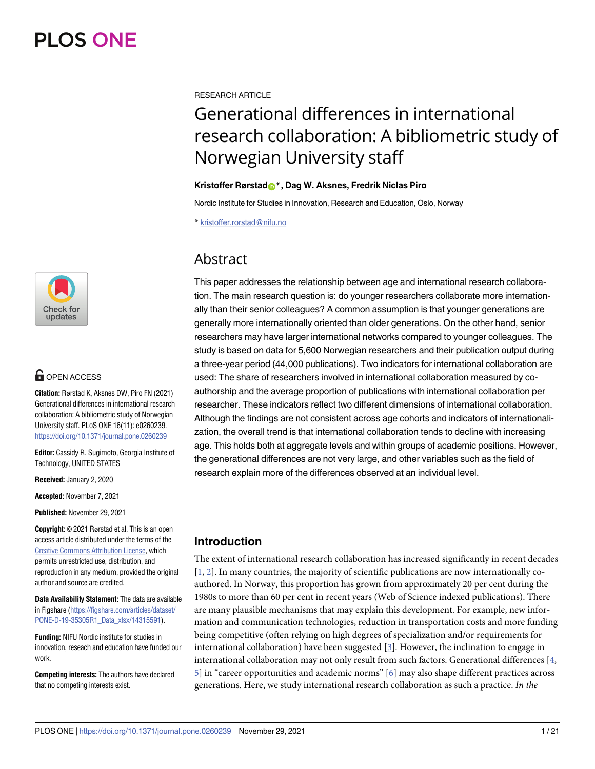

# **OPEN ACCESS**

**Citation:** Rørstad K, Aksnes DW, Piro FN (2021) Generational differences in international research collaboration: A bibliometric study of Norwegian University staff. PLoS ONE 16(11): e0260239. <https://doi.org/10.1371/journal.pone.0260239>

**Editor:** Cassidy R. Sugimoto, Georgia Institute of Technology, UNITED STATES

**Received:** January 2, 2020

**Accepted:** November 7, 2021

**Published:** November 29, 2021

**Copyright:** © 2021 Rørstad et al. This is an open access article distributed under the terms of the Creative Commons [Attribution](http://creativecommons.org/licenses/by/4.0/) License, which permits unrestricted use, distribution, and reproduction in any medium, provided the original author and source are credited.

**Data Availability Statement:** The data are available in Figshare [\(https://figshare.com/articles/dataset/](https://figshare.com/articles/dataset/PONE-D-19-35305R1_Data_xlsx/14315591) [PONE-D-19-35305R1\\_Data\\_xlsx/14315591\)](https://figshare.com/articles/dataset/PONE-D-19-35305R1_Data_xlsx/14315591).

**Funding:** NIFU Nordic institute for studies in innovation, reseach and education have funded our work.

**Competing interests:** The authors have declared that no competing interests exist.

<span id="page-0-0"></span>RESEARCH ARTICLE

# Generational differences in international research collaboration: A bibliometric study of Norwegian University staff

#### **Kristoffer Rørstad[ID](https://orcid.org/0000-0001-7388-6728)\*, Dag W. Aksnes, Fredrik Niclas Piro**

Nordic Institute for Studies in Innovation, Research and Education, Oslo, Norway

\* kristoffer.rorstad@nifu.no

# **Abstract**

This paper addresses the relationship between age and international research collaboration. The main research question is: do younger researchers collaborate more internationally than their senior colleagues? A common assumption is that younger generations are generally more internationally oriented than older generations. On the other hand, senior researchers may have larger international networks compared to younger colleagues. The study is based on data for 5,600 Norwegian researchers and their publication output during a three-year period (44,000 publications). Two indicators for international collaboration are used: The share of researchers involved in international collaboration measured by coauthorship and the average proportion of publications with international collaboration per researcher. These indicators reflect two different dimensions of international collaboration. Although the findings are not consistent across age cohorts and indicators of internationalization, the overall trend is that international collaboration tends to decline with increasing age. This holds both at aggregate levels and within groups of academic positions. However, the generational differences are not very large, and other variables such as the field of research explain more of the differences observed at an individual level.

# **Introduction**

The extent of international research collaboration has increased significantly in recent decades  $[1, 2]$  $[1, 2]$  $[1, 2]$  $[1, 2]$ . In many countries, the majority of scientific publications are now internationally coauthored. In Norway, this proportion has grown from approximately 20 per cent during the 1980s to more than 60 per cent in recent years (Web of Science indexed publications). There are many plausible mechanisms that may explain this development. For example, new information and communication technologies, reduction in transportation costs and more funding being competitive (often relying on high degrees of specialization and/or requirements for international collaboration) have been suggested  $[3]$  $[3]$  $[3]$ . However, the inclination to engage in international collaboration may not only result from such factors. Generational differences [[4,](#page-17-0) [5\]](#page-17-0) in "career opportunities and academic norms" [\[6\]](#page-17-0) may also shape different practices across generations. Here, we study international research collaboration as such a practice. *In the*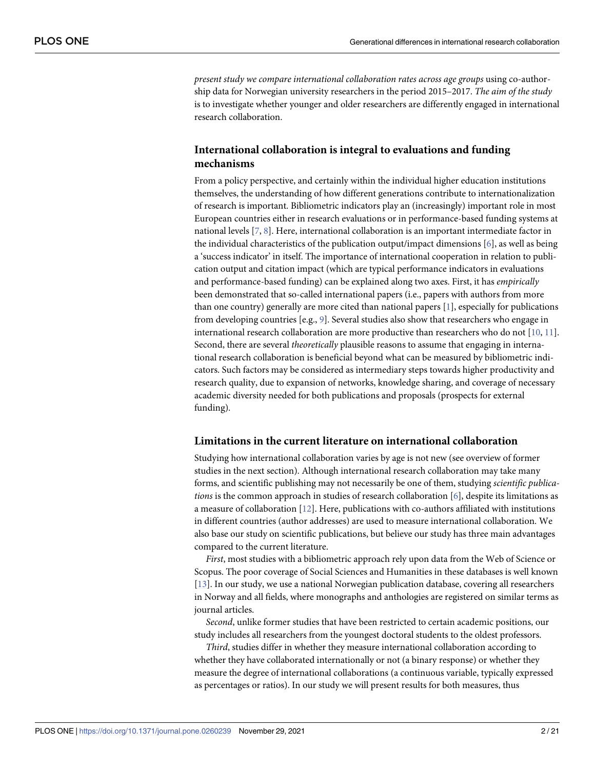<span id="page-1-0"></span>*present study we compare international collaboration rates across age groups* using co-authorship data for Norwegian university researchers in the period 2015–2017. *The aim of the study* is to investigate whether younger and older researchers are differently engaged in international research collaboration.

# **International collaboration is integral to evaluations and funding mechanisms**

From a policy perspective, and certainly within the individual higher education institutions themselves, the understanding of how different generations contribute to internationalization of research is important. Bibliometric indicators play an (increasingly) important role in most European countries either in research evaluations or in performance-based funding systems at national levels [\[7,](#page-17-0) [8](#page-17-0)]. Here, international collaboration is an important intermediate factor in the individual characteristics of the publication output/impact dimensions [[6\]](#page-17-0), as well as being a 'success indicator' in itself. The importance of international cooperation in relation to publication output and citation impact (which are typical performance indicators in evaluations and performance-based funding) can be explained along two axes. First, it has *empirically* been demonstrated that so-called international papers (i.e., papers with authors from more than one country) generally are more cited than national papers [\[1\]](#page-17-0), especially for publications from developing countries [e.g., [9\]](#page-17-0). Several studies also show that researchers who engage in international research collaboration are more productive than researchers who do not  $[10, 11]$  $[10, 11]$  $[10, 11]$  $[10, 11]$  $[10, 11]$ . Second, there are several *theoretically* plausible reasons to assume that engaging in international research collaboration is beneficial beyond what can be measured by bibliometric indicators. Such factors may be considered as intermediary steps towards higher productivity and research quality, due to expansion of networks, knowledge sharing, and coverage of necessary academic diversity needed for both publications and proposals (prospects for external funding).

#### **Limitations in the current literature on international collaboration**

Studying how international collaboration varies by age is not new (see overview of former studies in the next section). Although international research collaboration may take many forms, and scientific publishing may not necessarily be one of them, studying *scientific publications* is the common approach in studies of research collaboration [[6\]](#page-17-0), despite its limitations as a measure of collaboration [\[12\]](#page-18-0). Here, publications with co-authors affiliated with institutions in different countries (author addresses) are used to measure international collaboration. We also base our study on scientific publications, but believe our study has three main advantages compared to the current literature.

*First*, most studies with a bibliometric approach rely upon data from the Web of Science or Scopus. The poor coverage of Social Sciences and Humanities in these databases is well known [\[13\]](#page-18-0). In our study, we use a national Norwegian publication database, covering all researchers in Norway and all fields, where monographs and anthologies are registered on similar terms as journal articles.

*Second*, unlike former studies that have been restricted to certain academic positions, our study includes all researchers from the youngest doctoral students to the oldest professors.

*Third*, studies differ in whether they measure international collaboration according to whether they have collaborated internationally or not (a binary response) or whether they measure the degree of international collaborations (a continuous variable, typically expressed as percentages or ratios). In our study we will present results for both measures, thus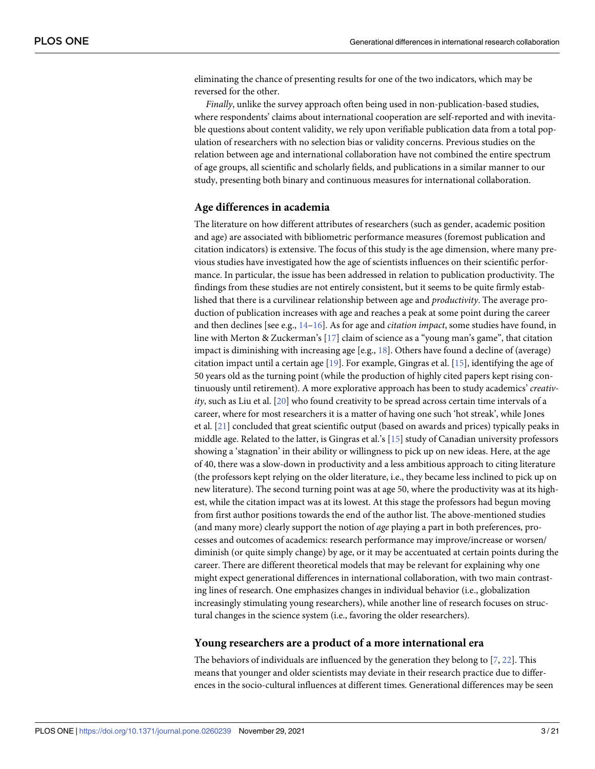<span id="page-2-0"></span>eliminating the chance of presenting results for one of the two indicators, which may be reversed for the other.

*Finally*, unlike the survey approach often being used in non-publication-based studies, where respondents' claims about international cooperation are self-reported and with inevitable questions about content validity, we rely upon verifiable publication data from a total population of researchers with no selection bias or validity concerns. Previous studies on the relation between age and international collaboration have not combined the entire spectrum of age groups, all scientific and scholarly fields, and publications in a similar manner to our study, presenting both binary and continuous measures for international collaboration.

#### **Age differences in academia**

The literature on how different attributes of researchers (such as gender, academic position and age) are associated with bibliometric performance measures (foremost publication and citation indicators) is extensive. The focus of this study is the age dimension, where many previous studies have investigated how the age of scientists influences on their scientific performance. In particular, the issue has been addressed in relation to publication productivity. The findings from these studies are not entirely consistent, but it seems to be quite firmly established that there is a curvilinear relationship between age and *productivity*. The average production of publication increases with age and reaches a peak at some point during the career and then declines [see e.g., [14–16\]](#page-18-0). As for age and *citation impact*, some studies have found, in line with Merton & Zuckerman's [[17](#page-18-0)] claim of science as a "young man's game", that citation impact is diminishing with increasing age [e.g., [18\]](#page-18-0). Others have found a decline of (average) citation impact until a certain age [[19](#page-18-0)]. For example, Gingras et al. [\[15\]](#page-18-0), identifying the age of 50 years old as the turning point (while the production of highly cited papers kept rising continuously until retirement). A more explorative approach has been to study academics' *creativity*, such as Liu et al. [[20](#page-18-0)] who found creativity to be spread across certain time intervals of a career, where for most researchers it is a matter of having one such 'hot streak', while Jones et al. [\[21\]](#page-18-0) concluded that great scientific output (based on awards and prices) typically peaks in middle age. Related to the latter, is Gingras et al.'s [\[15\]](#page-18-0) study of Canadian university professors showing a 'stagnation' in their ability or willingness to pick up on new ideas. Here, at the age of 40, there was a slow-down in productivity and a less ambitious approach to citing literature (the professors kept relying on the older literature, i.e., they became less inclined to pick up on new literature). The second turning point was at age 50, where the productivity was at its highest, while the citation impact was at its lowest. At this stage the professors had begun moving from first author positions towards the end of the author list. The above-mentioned studies (and many more) clearly support the notion of *age* playing a part in both preferences, processes and outcomes of academics: research performance may improve/increase or worsen/ diminish (or quite simply change) by age, or it may be accentuated at certain points during the career. There are different theoretical models that may be relevant for explaining why one might expect generational differences in international collaboration, with two main contrasting lines of research. One emphasizes changes in individual behavior (i.e., globalization increasingly stimulating young researchers), while another line of research focuses on structural changes in the science system (i.e., favoring the older researchers).

#### **Young researchers are a product of a more international era**

The behaviors of individuals are influenced by the generation they belong to [[7,](#page-17-0) [22\]](#page-18-0). This means that younger and older scientists may deviate in their research practice due to differences in the socio-cultural influences at different times. Generational differences may be seen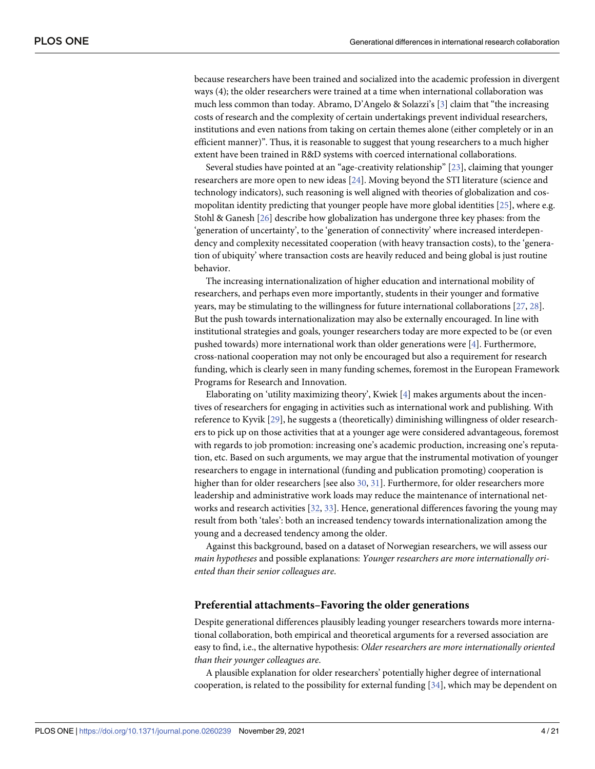<span id="page-3-0"></span>because researchers have been trained and socialized into the academic profession in divergent ways (4); the older researchers were trained at a time when international collaboration was much less common than today. Abramo, D'Angelo & Solazzi's [\[3\]](#page-17-0) claim that "the increasing costs of research and the complexity of certain undertakings prevent individual researchers, institutions and even nations from taking on certain themes alone (either completely or in an efficient manner)". Thus, it is reasonable to suggest that young researchers to a much higher extent have been trained in R&D systems with coerced international collaborations.

Several studies have pointed at an "age-creativity relationship" [[23](#page-18-0)], claiming that younger researchers are more open to new ideas [[24](#page-18-0)]. Moving beyond the STI literature (science and technology indicators), such reasoning is well aligned with theories of globalization and cosmopolitan identity predicting that younger people have more global identities [\[25\]](#page-18-0), where e.g. Stohl & Ganesh [[26](#page-18-0)] describe how globalization has undergone three key phases: from the 'generation of uncertainty', to the 'generation of connectivity' where increased interdependency and complexity necessitated cooperation (with heavy transaction costs), to the 'generation of ubiquity' where transaction costs are heavily reduced and being global is just routine behavior.

The increasing internationalization of higher education and international mobility of researchers, and perhaps even more importantly, students in their younger and formative years, may be stimulating to the willingness for future international collaborations [\[27,](#page-18-0) [28\]](#page-18-0). But the push towards internationalization may also be externally encouraged. In line with institutional strategies and goals, younger researchers today are more expected to be (or even pushed towards) more international work than older generations were [\[4](#page-17-0)]. Furthermore, cross-national cooperation may not only be encouraged but also a requirement for research funding, which is clearly seen in many funding schemes, foremost in the European Framework Programs for Research and Innovation.

Elaborating on 'utility maximizing theory', Kwiek [[4\]](#page-17-0) makes arguments about the incentives of researchers for engaging in activities such as international work and publishing. With reference to Kyvik [\[29\]](#page-18-0), he suggests a (theoretically) diminishing willingness of older researchers to pick up on those activities that at a younger age were considered advantageous, foremost with regards to job promotion: increasing one's academic production, increasing one's reputation, etc. Based on such arguments, we may argue that the instrumental motivation of younger researchers to engage in international (funding and publication promoting) cooperation is higher than for older researchers [see also [30](#page-18-0), [31](#page-18-0)]. Furthermore, for older researchers more leadership and administrative work loads may reduce the maintenance of international networks and research activities [[32](#page-18-0), [33](#page-18-0)]. Hence, generational differences favoring the young may result from both 'tales': both an increased tendency towards internationalization among the young and a decreased tendency among the older.

Against this background, based on a dataset of Norwegian researchers, we will assess our *main hypotheses* and possible explanations: *Younger researchers are more internationally oriented than their senior colleagues are*.

#### **Preferential attachments–Favoring the older generations**

Despite generational differences plausibly leading younger researchers towards more international collaboration, both empirical and theoretical arguments for a reversed association are easy to find, i.e., the alternative hypothesis: *Older researchers are more internationally oriented than their younger colleagues are*.

A plausible explanation for older researchers' potentially higher degree of international cooperation, is related to the possibility for external funding [[34](#page-18-0)], which may be dependent on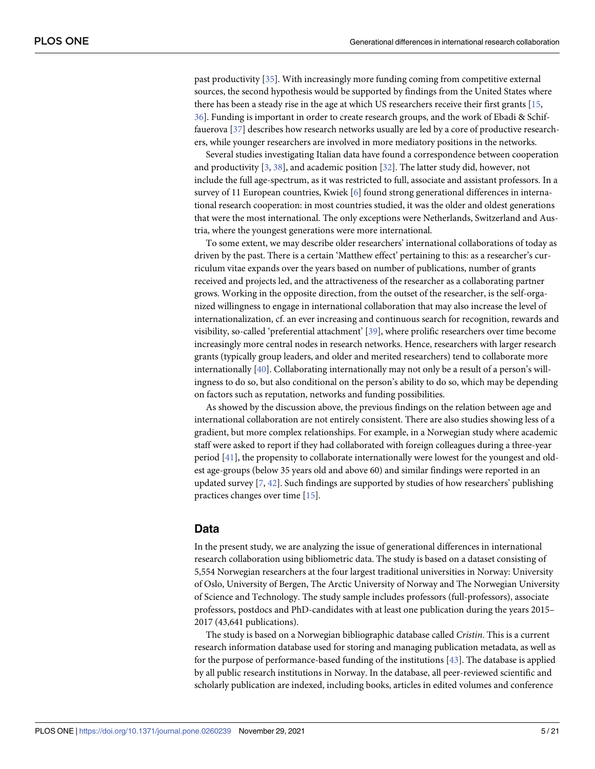<span id="page-4-0"></span>past productivity [\[35\]](#page-18-0). With increasingly more funding coming from competitive external sources, the second hypothesis would be supported by findings from the United States where there has been a steady rise in the age at which US researchers receive their first grants [[15](#page-18-0), [36\]](#page-19-0). Funding is important in order to create research groups, and the work of Ebadi & Schiffauerova [[37](#page-19-0)] describes how research networks usually are led by a core of productive researchers, while younger researchers are involved in more mediatory positions in the networks.

Several studies investigating Italian data have found a correspondence between cooperation and productivity [\[3,](#page-17-0) [38\]](#page-19-0), and academic position [\[32](#page-18-0)]. The latter study did, however, not include the full age-spectrum, as it was restricted to full, associate and assistant professors. In a survey of 11 European countries, Kwiek [[6\]](#page-17-0) found strong generational differences in international research cooperation: in most countries studied, it was the older and oldest generations that were the most international. The only exceptions were Netherlands, Switzerland and Austria, where the youngest generations were more international.

To some extent, we may describe older researchers' international collaborations of today as driven by the past. There is a certain 'Matthew effect' pertaining to this: as a researcher's curriculum vitae expands over the years based on number of publications, number of grants received and projects led, and the attractiveness of the researcher as a collaborating partner grows. Working in the opposite direction, from the outset of the researcher, is the self-organized willingness to engage in international collaboration that may also increase the level of internationalization, cf. an ever increasing and continuous search for recognition, rewards and visibility, so-called 'preferential attachment' [\[39\]](#page-19-0), where prolific researchers over time become increasingly more central nodes in research networks. Hence, researchers with larger research grants (typically group leaders, and older and merited researchers) tend to collaborate more internationally [[40](#page-19-0)]. Collaborating internationally may not only be a result of a person's willingness to do so, but also conditional on the person's ability to do so, which may be depending on factors such as reputation, networks and funding possibilities.

As showed by the discussion above, the previous findings on the relation between age and international collaboration are not entirely consistent. There are also studies showing less of a gradient, but more complex relationships. For example, in a Norwegian study where academic staff were asked to report if they had collaborated with foreign colleagues during a three-year period [[41](#page-19-0)], the propensity to collaborate internationally were lowest for the youngest and oldest age-groups (below 35 years old and above 60) and similar findings were reported in an updated survey  $[7, 42]$  $[7, 42]$  $[7, 42]$  $[7, 42]$ . Such findings are supported by studies of how researchers' publishing practices changes over time [[15](#page-18-0)].

#### **Data**

In the present study, we are analyzing the issue of generational differences in international research collaboration using bibliometric data. The study is based on a dataset consisting of 5,554 Norwegian researchers at the four largest traditional universities in Norway: University of Oslo, University of Bergen, The Arctic University of Norway and The Norwegian University of Science and Technology. The study sample includes professors (full-professors), associate professors, postdocs and PhD-candidates with at least one publication during the years 2015– 2017 (43,641 publications).

The study is based on a Norwegian bibliographic database called *Cristin*. This is a current research information database used for storing and managing publication metadata, as well as for the purpose of performance-based funding of the institutions [[43](#page-19-0)]. The database is applied by all public research institutions in Norway. In the database, all peer-reviewed scientific and scholarly publication are indexed, including books, articles in edited volumes and conference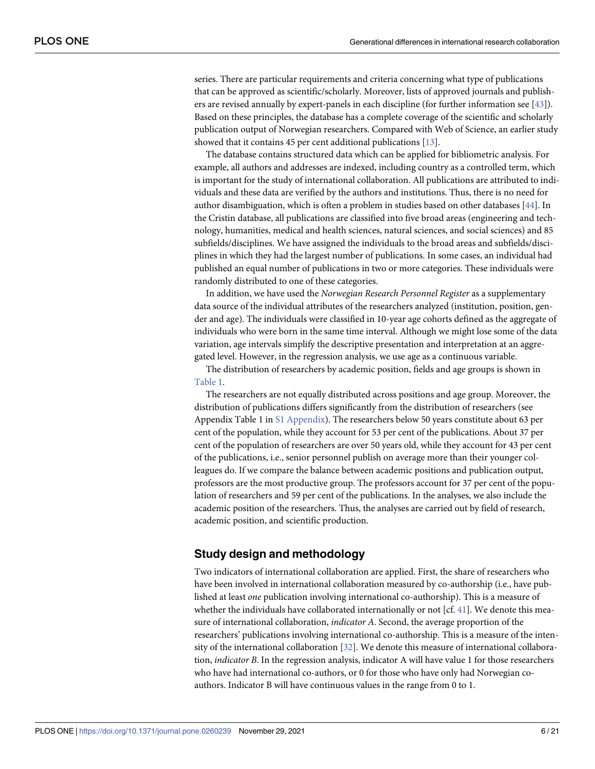<span id="page-5-0"></span>series. There are particular requirements and criteria concerning what type of publications that can be approved as scientific/scholarly. Moreover, lists of approved journals and publishers are revised annually by expert-panels in each discipline (for further information see [\[43\]](#page-19-0)). Based on these principles, the database has a complete coverage of the scientific and scholarly publication output of Norwegian researchers. Compared with Web of Science, an earlier study showed that it contains 45 per cent additional publications [[13](#page-18-0)].

The database contains structured data which can be applied for bibliometric analysis. For example, all authors and addresses are indexed, including country as a controlled term, which is important for the study of international collaboration. All publications are attributed to individuals and these data are verified by the authors and institutions. Thus, there is no need for author disambiguation, which is often a problem in studies based on other databases [[44](#page-19-0)]. In the Cristin database, all publications are classified into five broad areas (engineering and technology, humanities, medical and health sciences, natural sciences, and social sciences) and 85 subfields/disciplines. We have assigned the individuals to the broad areas and subfields/disciplines in which they had the largest number of publications. In some cases, an individual had published an equal number of publications in two or more categories. These individuals were randomly distributed to one of these categories.

In addition, we have used the *Norwegian Research Personnel Register* as a supplementary data source of the individual attributes of the researchers analyzed (institution, position, gender and age). The individuals were classified in 10-year age cohorts defined as the aggregate of individuals who were born in the same time interval. Although we might lose some of the data variation, age intervals simplify the descriptive presentation and interpretation at an aggregated level. However, in the regression analysis, we use age as a continuous variable.

The distribution of researchers by academic position, fields and age groups is shown in [Table](#page-6-0) 1.

The researchers are not equally distributed across positions and age group. Moreover, the distribution of publications differs significantly from the distribution of researchers (see Appendix Table 1 in S1 [Appendix\)](#page-17-0). The researchers below 50 years constitute about 63 per cent of the population, while they account for 53 per cent of the publications. About 37 per cent of the population of researchers are over 50 years old, while they account for 43 per cent of the publications, i.e., senior personnel publish on average more than their younger colleagues do. If we compare the balance between academic positions and publication output, professors are the most productive group. The professors account for 37 per cent of the population of researchers and 59 per cent of the publications. In the analyses, we also include the academic position of the researchers. Thus, the analyses are carried out by field of research, academic position, and scientific production.

# **Study design and methodology**

Two indicators of international collaboration are applied. First, the share of researchers who have been involved in international collaboration measured by co-authorship (i.e., have published at least *one* publication involving international co-authorship). This is a measure of whether the individuals have collaborated internationally or not [cf.  $41$ ]. We denote this measure of international collaboration, *indicator A*. Second, the average proportion of the researchers' publications involving international co-authorship. This is a measure of the intensity of the international collaboration [[32](#page-18-0)]. We denote this measure of international collaboration, *indicator B*. In the regression analysis, indicator A will have value 1 for those researchers who have had international co-authors, or 0 for those who have only had Norwegian coauthors. Indicator B will have continuous values in the range from 0 to 1.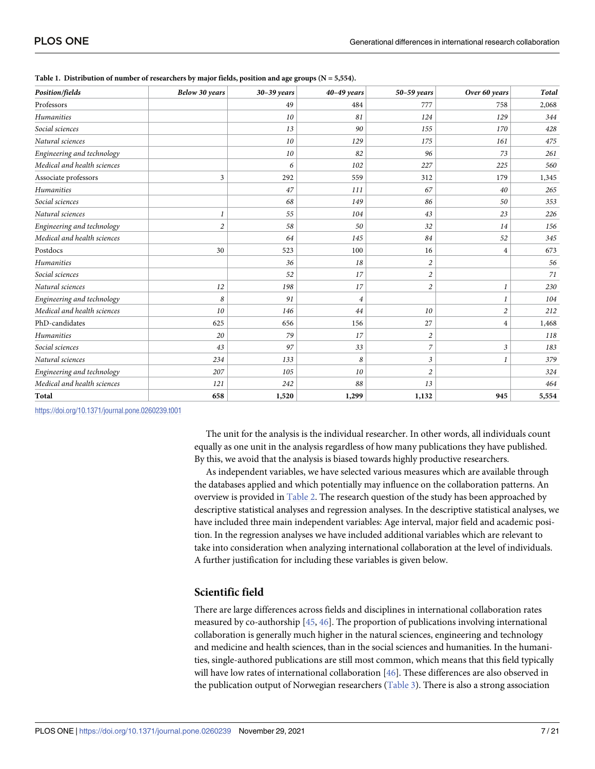| Position/fields             | Below 30 years | $30-39$ years | $40-49$ years  | $50-59$ years  | Over 60 years           | Total |
|-----------------------------|----------------|---------------|----------------|----------------|-------------------------|-------|
| Professors                  |                | 49            | 484            | 777            | 758                     | 2,068 |
| Humanities                  |                | 10            | 81             | 124            | 129                     | 344   |
| Social sciences             |                | 13            | 90             | 155            | 170                     | 428   |
| Natural sciences            |                | 10            | 129            | 175            | 161                     | 475   |
| Engineering and technology  |                | 10            | 82             | 96             | 73                      | 261   |
| Medical and health sciences |                | 6             | 102            | 227            | 225                     | 560   |
| Associate professors        | 3              | 292           | 559            | 312            | 179                     | 1,345 |
| Humanities                  |                | 47            | <i>111</i>     | 67             | 40                      | 265   |
| Social sciences             |                | 68            | 149            | 86             | 50                      | 353   |
| Natural sciences            | $\mathbf{I}$   | 55            | 104            | 43             | 23                      | 226   |
| Engineering and technology  | $\sqrt{2}$     | 58            | 50             | 32             | 14                      | 156   |
| Medical and health sciences |                | 64            | 145            | 84             | 52                      | 345   |
| Postdocs                    | 30             | 523           | 100            | 16             | 4                       | 673   |
| <b>Humanities</b>           |                | 36            | 18             | $\sqrt{2}$     |                         | 56    |
| Social sciences             |                | 52            | 17             | 2              |                         | 71    |
| Natural sciences            | 12             | 198           | 17             | $\mathfrak{2}$ |                         | 230   |
| Engineering and technology  | 8              | 91            | $\overline{4}$ |                | 1                       | 104   |
| Medical and health sciences | 10             | 146           | 44             | 10             | $\overline{\mathbf{c}}$ | 212   |
| PhD-candidates              | 625            | 656           | 156            | 27             | 4                       | 1,468 |
| Humanities                  | 20             | 79            | 17             | $\overline{c}$ |                         | 118   |
| Social sciences             | 43             | 97            | 33             | 7              | 3                       | 183   |
| Natural sciences            | 234            | 133           | 8              | $\mathfrak{Z}$ | 1                       | 379   |
| Engineering and technology  | 207            | 105           | 10             | $\overline{c}$ |                         | 324   |
| Medical and health sciences | 121            | 242           | 88             | 13             |                         | 464   |
| Total                       | 658            | 1,520         | 1,299          | 1,132          | 945                     | 5,554 |

<span id="page-6-0"></span>**[Table](#page-5-0) 1. Distribution of number of researchers by major fields, position and age groups (N = 5,554).**

<https://doi.org/10.1371/journal.pone.0260239.t001>

The unit for the analysis is the individual researcher. In other words, all individuals count equally as one unit in the analysis regardless of how many publications they have published. By this, we avoid that the analysis is biased towards highly productive researchers.

As independent variables, we have selected various measures which are available through the databases applied and which potentially may influence on the collaboration patterns. An overview is provided in [Table](#page-7-0) 2. The research question of the study has been approached by descriptive statistical analyses and regression analyses. In the descriptive statistical analyses, we have included three main independent variables: Age interval, major field and academic position. In the regression analyses we have included additional variables which are relevant to take into consideration when analyzing international collaboration at the level of individuals. A further justification for including these variables is given below.

# **Scientific field**

There are large differences across fields and disciplines in international collaboration rates measured by co-authorship [[45](#page-19-0), [46](#page-19-0)]. The proportion of publications involving international collaboration is generally much higher in the natural sciences, engineering and technology and medicine and health sciences, than in the social sciences and humanities. In the humanities, single-authored publications are still most common, which means that this field typically will have low rates of international collaboration [[46](#page-19-0)]. These differences are also observed in the publication output of Norwegian researchers ([Table](#page-7-0) 3). There is also a strong association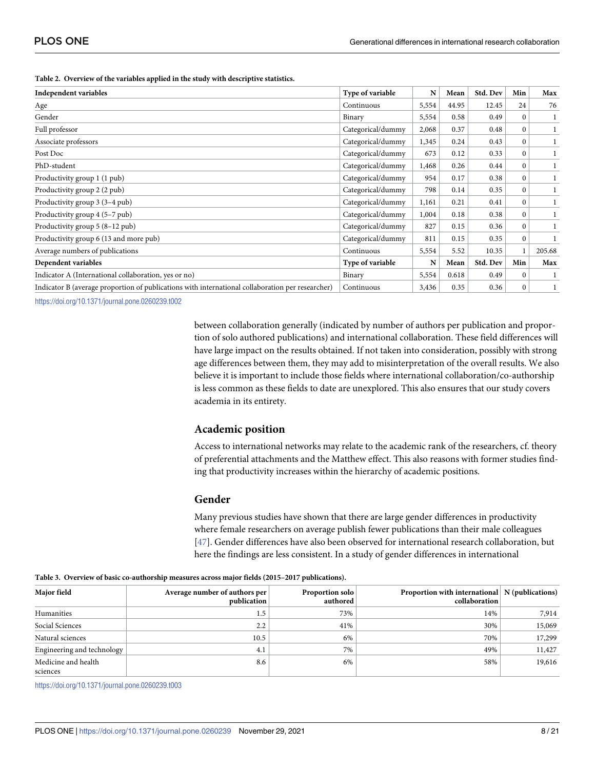<span id="page-7-0"></span>

| Table 2. Overview of the variables applied in the study with descriptive statistics. |  |
|--------------------------------------------------------------------------------------|--|
|--------------------------------------------------------------------------------------|--|

| Independent variables                                                                            | Type of variable  | N     | Mean  | Std. Dev | Min          | Max    |
|--------------------------------------------------------------------------------------------------|-------------------|-------|-------|----------|--------------|--------|
| Age                                                                                              | Continuous        | 5,554 | 44.95 | 12.45    | 24           | 76     |
| Gender                                                                                           | Binary            | 5,554 | 0.58  | 0.49     | $\mathbf{0}$ |        |
| Full professor                                                                                   | Categorical/dummy | 2,068 | 0.37  | 0.48     | $\mathbf{0}$ |        |
| Associate professors                                                                             | Categorical/dummy | 1,345 | 0.24  | 0.43     | $\mathbf{0}$ |        |
| Post Doc                                                                                         | Categorical/dummy | 673   | 0.12  | 0.33     | $\mathbf{0}$ |        |
| PhD-student                                                                                      | Categorical/dummy | 1,468 | 0.26  | 0.44     | $\mathbf{0}$ |        |
| Productivity group 1 (1 pub)                                                                     | Categorical/dummy | 954   | 0.17  | 0.38     | $\mathbf{0}$ |        |
| Productivity group 2 (2 pub)                                                                     | Categorical/dummy | 798   | 0.14  | 0.35     | $\mathbf{0}$ |        |
| Productivity group 3 (3-4 pub)                                                                   | Categorical/dummy | 1,161 | 0.21  | 0.41     | $\mathbf{0}$ |        |
| Productivity group 4 (5–7 pub)                                                                   | Categorical/dummy | 1,004 | 0.18  | 0.38     | $\mathbf{0}$ |        |
| Productivity group $5(8-12$ pub)                                                                 | Categorical/dummy | 827   | 0.15  | 0.36     | $\mathbf{0}$ |        |
| Productivity group 6 (13 and more pub)                                                           | Categorical/dummy | 811   | 0.15  | 0.35     | $\mathbf{0}$ |        |
| Average numbers of publications                                                                  | Continuous        | 5,554 | 5.52  | 10.35    |              | 205.68 |
| Dependent variables                                                                              | Type of variable  | N     | Mean  | Std. Dev | Min          | Max    |
| Indicator A (International collaboration, yes or no)                                             | Binary            | 5,554 | 0.618 | 0.49     | $\mathbf{0}$ |        |
| Indicator B (average proportion of publications with international collaboration per researcher) | Continuous        | 3,436 | 0.35  | 0.36     | $\mathbf{0}$ |        |

<https://doi.org/10.1371/journal.pone.0260239.t002>

between collaboration generally (indicated by number of authors per publication and proportion of solo authored publications) and international collaboration. These field differences will have large impact on the results obtained. If not taken into consideration, possibly with strong age differences between them, they may add to misinterpretation of the overall results. We also believe it is important to include those fields where international collaboration/co-authorship is less common as these fields to date are unexplored. This also ensures that our study covers academia in its entirety.

#### **Academic position**

Access to international networks may relate to the academic rank of the researchers, cf. theory of preferential attachments and the Matthew effect. This also reasons with former studies finding that productivity increases within the hierarchy of academic positions.

#### **Gender**

Many previous studies have shown that there are large gender differences in productivity where female researchers on average publish fewer publications than their male colleagues [\[47\]](#page-19-0). Gender differences have also been observed for international research collaboration, but here the findings are less consistent. In a study of gender differences in international

| Major field                | Average number of authors per | Proportion solo | Proportion with international   N (publications) |        |
|----------------------------|-------------------------------|-----------------|--------------------------------------------------|--------|
|                            | publication                   | authored        | collaboration                                    |        |
| Humanities                 | 1.5                           | 73%             | 14%                                              | 7,914  |
| Social Sciences            | 2.2                           | 41%             | 30%                                              | 15,069 |
| Natural sciences           | 10.5                          | 6%              | 70%                                              | 17,299 |
| Engineering and technology | 4.1                           | 7%              | 49%                                              | 11,427 |
| Medicine and health        | 8.6                           | 6%              | 58%                                              | 19,616 |
| sciences                   |                               |                 |                                                  |        |

**[Table](#page-6-0) 3. Overview of basic co-authorship measures across major fields (2015–2017 publications).**

<https://doi.org/10.1371/journal.pone.0260239.t003>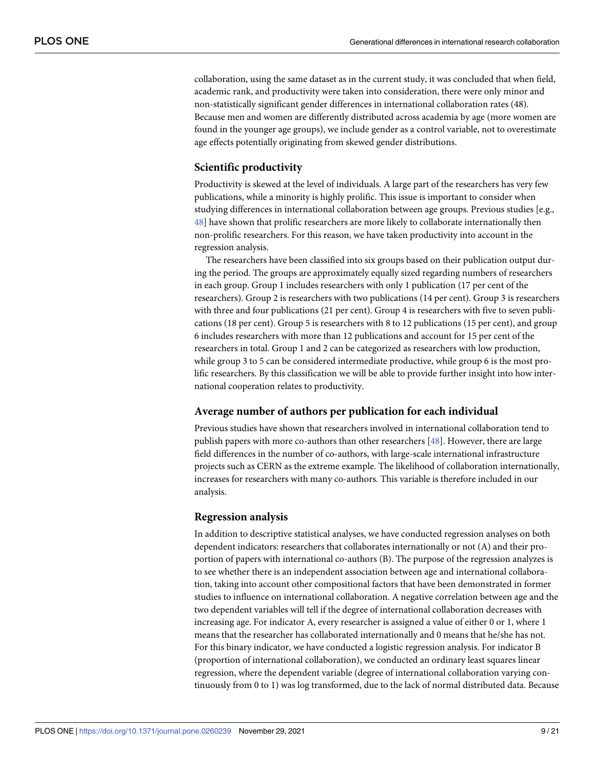<span id="page-8-0"></span>collaboration, using the same dataset as in the current study, it was concluded that when field, academic rank, and productivity were taken into consideration, there were only minor and non-statistically significant gender differences in international collaboration rates (48). Because men and women are differently distributed across academia by age (more women are found in the younger age groups), we include gender as a control variable, not to overestimate age effects potentially originating from skewed gender distributions.

# **Scientific productivity**

Productivity is skewed at the level of individuals. A large part of the researchers has very few publications, while a minority is highly prolific. This issue is important to consider when studying differences in international collaboration between age groups. Previous studies [e.g., [48\]](#page-19-0) have shown that prolific researchers are more likely to collaborate internationally then non-prolific researchers. For this reason, we have taken productivity into account in the regression analysis.

The researchers have been classified into six groups based on their publication output during the period. The groups are approximately equally sized regarding numbers of researchers in each group. Group 1 includes researchers with only 1 publication (17 per cent of the researchers). Group 2 is researchers with two publications (14 per cent). Group 3 is researchers with three and four publications (21 per cent). Group 4 is researchers with five to seven publications (18 per cent). Group 5 is researchers with 8 to 12 publications (15 per cent), and group 6 includes researchers with more than 12 publications and account for 15 per cent of the researchers in total. Group 1 and 2 can be categorized as researchers with low production, while group 3 to 5 can be considered intermediate productive, while group 6 is the most prolific researchers. By this classification we will be able to provide further insight into how international cooperation relates to productivity.

# **Average number of authors per publication for each individual**

Previous studies have shown that researchers involved in international collaboration tend to publish papers with more co-authors than other researchers [\[48\]](#page-19-0). However, there are large field differences in the number of co-authors, with large-scale international infrastructure projects such as CERN as the extreme example. The likelihood of collaboration internationally, increases for researchers with many co-authors. This variable is therefore included in our analysis.

# **Regression analysis**

In addition to descriptive statistical analyses, we have conducted regression analyses on both dependent indicators: researchers that collaborates internationally or not (A) and their proportion of papers with international co-authors (B). The purpose of the regression analyzes is to see whether there is an independent association between age and international collaboration, taking into account other compositional factors that have been demonstrated in former studies to influence on international collaboration. A negative correlation between age and the two dependent variables will tell if the degree of international collaboration decreases with increasing age. For indicator A, every researcher is assigned a value of either 0 or 1, where 1 means that the researcher has collaborated internationally and 0 means that he/she has not. For this binary indicator, we have conducted a logistic regression analysis. For indicator B (proportion of international collaboration), we conducted an ordinary least squares linear regression, where the dependent variable (degree of international collaboration varying continuously from 0 to 1) was log transformed, due to the lack of normal distributed data. Because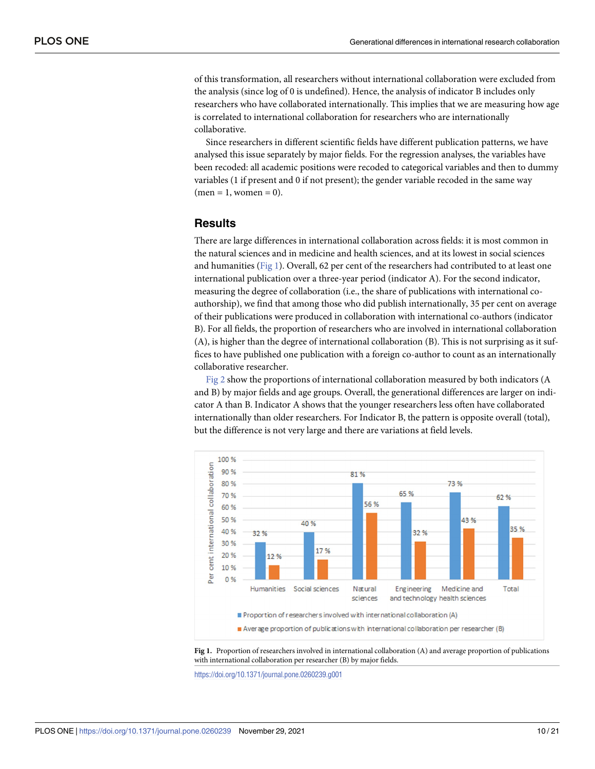<span id="page-9-0"></span>of this transformation, all researchers without international collaboration were excluded from the analysis (since log of 0 is undefined). Hence, the analysis of indicator B includes only researchers who have collaborated internationally. This implies that we are measuring how age is correlated to international collaboration for researchers who are internationally collaborative.

Since researchers in different scientific fields have different publication patterns, we have analysed this issue separately by major fields. For the regression analyses, the variables have been recoded: all academic positions were recoded to categorical variables and then to dummy variables (1 if present and 0 if not present); the gender variable recoded in the same way  $(men = 1, women = 0).$ 

# **Results**

There are large differences in international collaboration across fields: it is most common in the natural sciences and in medicine and health sciences, and at its lowest in social sciences and humanities (Fig 1). Overall, 62 per cent of the researchers had contributed to at least one international publication over a three-year period (indicator A). For the second indicator, measuring the degree of collaboration (i.e., the share of publications with international coauthorship), we find that among those who did publish internationally, 35 per cent on average of their publications were produced in collaboration with international co-authors (indicator B). For all fields, the proportion of researchers who are involved in international collaboration (A), is higher than the degree of international collaboration (B). This is not surprising as it suffices to have published one publication with a foreign co-author to count as an internationally collaborative researcher.

[Fig](#page-10-0) 2 show the proportions of international collaboration measured by both indicators (A and B) by major fields and age groups. Overall, the generational differences are larger on indicator A than B. Indicator A shows that the younger researchers less often have collaborated internationally than older researchers. For Indicator B, the pattern is opposite overall (total), but the difference is not very large and there are variations at field levels.





<https://doi.org/10.1371/journal.pone.0260239.g001>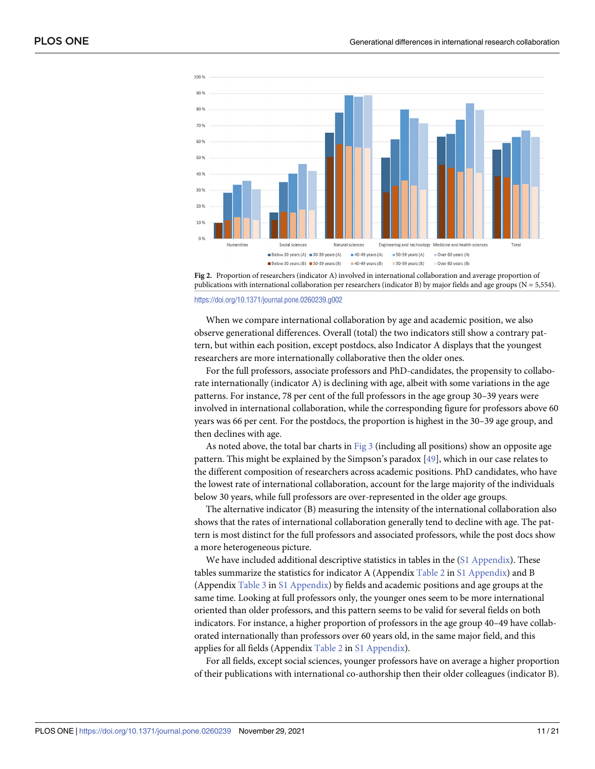<span id="page-10-0"></span>



#### <https://doi.org/10.1371/journal.pone.0260239.g002>

When we compare international collaboration by age and academic position, we also observe generational differences. Overall (total) the two indicators still show a contrary pattern, but within each position, except postdocs, also Indicator A displays that the youngest researchers are more internationally collaborative then the older ones.

For the full professors, associate professors and PhD-candidates, the propensity to collaborate internationally (indicator A) is declining with age, albeit with some variations in the age patterns. For instance, 78 per cent of the full professors in the age group 30–39 years were involved in international collaboration, while the corresponding figure for professors above 60 years was 66 per cent. For the postdocs, the proportion is highest in the 30–39 age group, and then declines with age.

As noted above, the total bar charts in [Fig](#page-11-0) 3 (including all positions) show an opposite age pattern. This might be explained by the Simpson's paradox [\[49\]](#page-19-0), which in our case relates to the different composition of researchers across academic positions. PhD candidates, who have the lowest rate of international collaboration, account for the large majority of the individuals below 30 years, while full professors are over-represented in the older age groups.

The alternative indicator (B) measuring the intensity of the international collaboration also shows that the rates of international collaboration generally tend to decline with age. The pattern is most distinct for the full professors and associated professors, while the post docs show a more heterogeneous picture.

We have included additional descriptive statistics in tables in the (S1 [Appendix\)](#page-17-0). These tables summarize the statistics for indicator A (Appendix [Table](#page-7-0) 2 in S1 [Appendix\)](#page-17-0) and B (Appendix [Table](#page-7-0) 3 in S1 [Appendix\)](#page-17-0) by fields and academic positions and age groups at the same time. Looking at full professors only, the younger ones seem to be more international oriented than older professors, and this pattern seems to be valid for several fields on both indicators. For instance, a higher proportion of professors in the age group 40–49 have collaborated internationally than professors over 60 years old, in the same major field, and this applies for all fields (Appendix [Table](#page-7-0) 2 in S1 [Appendix\)](#page-17-0).

For all fields, except social sciences, younger professors have on average a higher proportion of their publications with international co-authorship then their older colleagues (indicator B).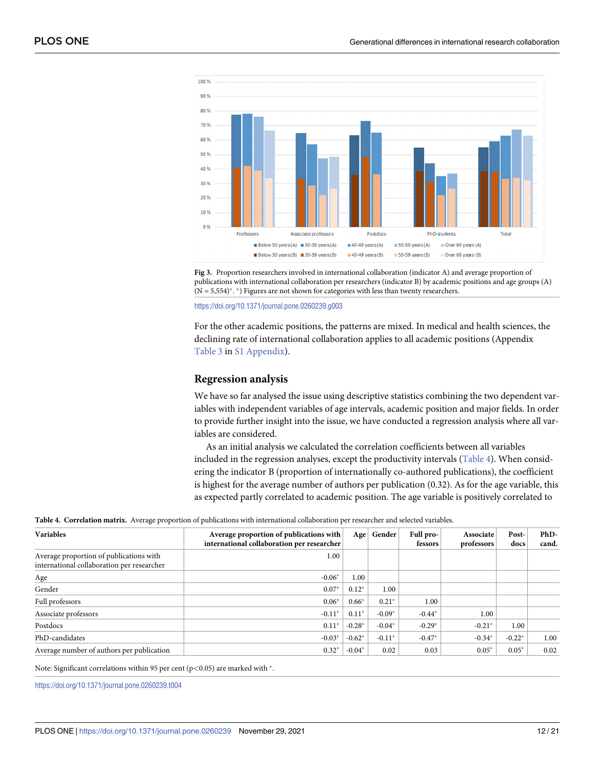<span id="page-11-0"></span>

**[Fig](#page-10-0) 3.** Proportion researchers involved in international collaboration (indicator A) and average proportion of publications with international collaboration per researchers (indicator B) by academic positions and age groups (A)  $(N = 5,554)$ <sup>\*</sup>. <sup>\*</sup>) Figures are not shown for categories with less than twenty researchers.

<https://doi.org/10.1371/journal.pone.0260239.g003>

For the other academic positions, the patterns are mixed. In medical and health sciences, the declining rate of international collaboration applies to all academic positions (Appendix [Table](#page-7-0) 3 in S1 [Appendix\)](#page-17-0).

#### **Regression analysis**

We have so far analysed the issue using descriptive statistics combining the two dependent variables with independent variables of age intervals, academic position and major fields. In order to provide further insight into the issue, we have conducted a regression analysis where all variables are considered.

As an initial analysis we calculated the correlation coefficients between all variables included in the regression analyses, except the productivity intervals (Table 4). When considering the indicator B (proportion of internationally co-authored publications), the coefficient is highest for the average number of authors per publication (0.32). As for the age variable, this as expected partly correlated to academic position. The age variable is positively correlated to

|  |  |  | Table 4. Correlation matrix. Average proportion of publications with international collaboration per researcher and selected variables. |  |  |
|--|--|--|-----------------------------------------------------------------------------------------------------------------------------------------|--|--|
|--|--|--|-----------------------------------------------------------------------------------------------------------------------------------------|--|--|

| <b>Variables</b>                                                                      | Average proportion of publications with<br>international collaboration per researcher | Age      | Gender   | Full pro- | Associate  | Post-    | PhD-<br>cand. |
|---------------------------------------------------------------------------------------|---------------------------------------------------------------------------------------|----------|----------|-----------|------------|----------|---------------|
|                                                                                       |                                                                                       |          |          | fessors   | professors | docs     |               |
| Average proportion of publications with<br>international collaboration per researcher | 1.00                                                                                  |          |          |           |            |          |               |
| Age                                                                                   | $-0.06*$                                                                              | 1.00     |          |           |            |          |               |
| Gender                                                                                | $0.07*$                                                                               | $0.12*$  | 1.00     |           |            |          |               |
| Full professors                                                                       | $0.06*$                                                                               | $0.66*$  | $0.21*$  | 1.00      |            |          |               |
| Associate professors                                                                  | $-0.11*$                                                                              | $0.11*$  | $-0.09*$ | $-0.44*$  | 1.00       |          |               |
| Postdocs                                                                              | $0.11*$                                                                               | $-0.28*$ | $-0.04*$ | $-0.29*$  | $-0.21*$   | 1.00     |               |
| PhD-candidates                                                                        | $-0.03*$                                                                              | $-0.62*$ | $-0.11*$ | $-0.47*$  | $-0.34*$   | $-0.22*$ | 1.00          |
| Average number of authors per publication                                             | $0.32*$                                                                               | $-0.04*$ | 0.02     | 0.03      | $0.05*$    | $0.05*$  | 0.02          |

Note: Significant correlations within 95 per cent (p<0.05) are marked with  $*$ .

<https://doi.org/10.1371/journal.pone.0260239.t004>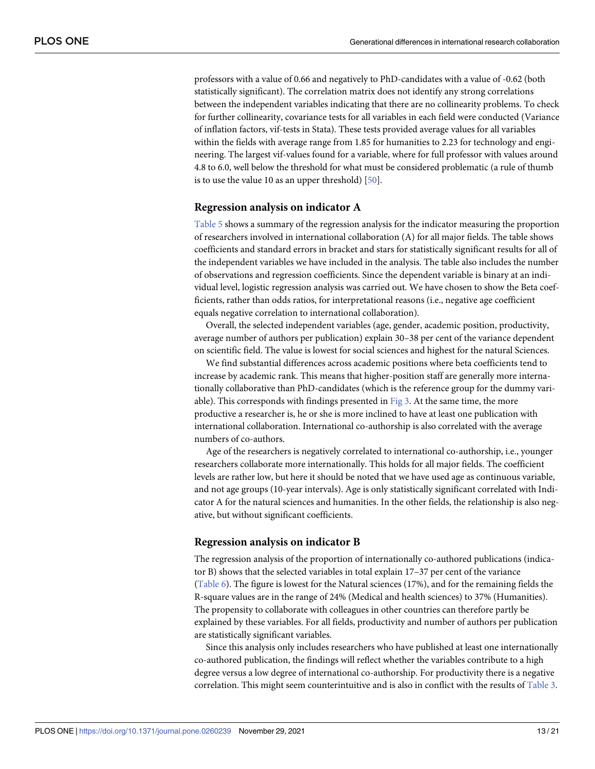<span id="page-12-0"></span>professors with a value of 0.66 and negatively to PhD-candidates with a value of -0.62 (both statistically significant). The correlation matrix does not identify any strong correlations between the independent variables indicating that there are no collinearity problems. To check for further collinearity, covariance tests for all variables in each field were conducted (Variance of inflation factors, vif-tests in Stata). These tests provided average values for all variables within the fields with average range from 1.85 for humanities to 2.23 for technology and engineering. The largest vif-values found for a variable, where for full professor with values around 4.8 to 6.0, well below the threshold for what must be considered problematic (a rule of thumb is to use the value 10 as an upper threshold) [\[50\]](#page-19-0).

#### **Regression analysis on indicator A**

[Table](#page-13-0) 5 shows a summary of the regression analysis for the indicator measuring the proportion of researchers involved in international collaboration (A) for all major fields. The table shows coefficients and standard errors in bracket and stars for statistically significant results for all of the independent variables we have included in the analysis. The table also includes the number of observations and regression coefficients. Since the dependent variable is binary at an individual level, logistic regression analysis was carried out. We have chosen to show the Beta coefficients, rather than odds ratios, for interpretational reasons (i.e., negative age coefficient equals negative correlation to international collaboration).

Overall, the selected independent variables (age, gender, academic position, productivity, average number of authors per publication) explain 30–38 per cent of the variance dependent on scientific field. The value is lowest for social sciences and highest for the natural Sciences.

We find substantial differences across academic positions where beta coefficients tend to increase by academic rank. This means that higher-position staff are generally more internationally collaborative than PhD-candidates (which is the reference group for the dummy variable). This corresponds with findings presented in  $Fig 3$  $Fig 3$ . At the same time, the more productive a researcher is, he or she is more inclined to have at least one publication with international collaboration. International co-authorship is also correlated with the average numbers of co-authors.

Age of the researchers is negatively correlated to international co-authorship, i.e., younger researchers collaborate more internationally. This holds for all major fields. The coefficient levels are rather low, but here it should be noted that we have used age as continuous variable, and not age groups (10-year intervals). Age is only statistically significant correlated with Indicator A for the natural sciences and humanities. In the other fields, the relationship is also negative, but without significant coefficients.

## **Regression analysis on indicator B**

The regression analysis of the proportion of internationally co-authored publications (indicator B) shows that the selected variables in total explain 17–37 per cent of the variance [\(Table](#page-14-0) 6). The figure is lowest for the Natural sciences (17%), and for the remaining fields the R-square values are in the range of 24% (Medical and health sciences) to 37% (Humanities). The propensity to collaborate with colleagues in other countries can therefore partly be explained by these variables. For all fields, productivity and number of authors per publication are statistically significant variables.

Since this analysis only includes researchers who have published at least one internationally co-authored publication, the findings will reflect whether the variables contribute to a high degree versus a low degree of international co-authorship. For productivity there is a negative correlation. This might seem counterintuitive and is also in conflict with the results of [Table](#page-7-0) 3.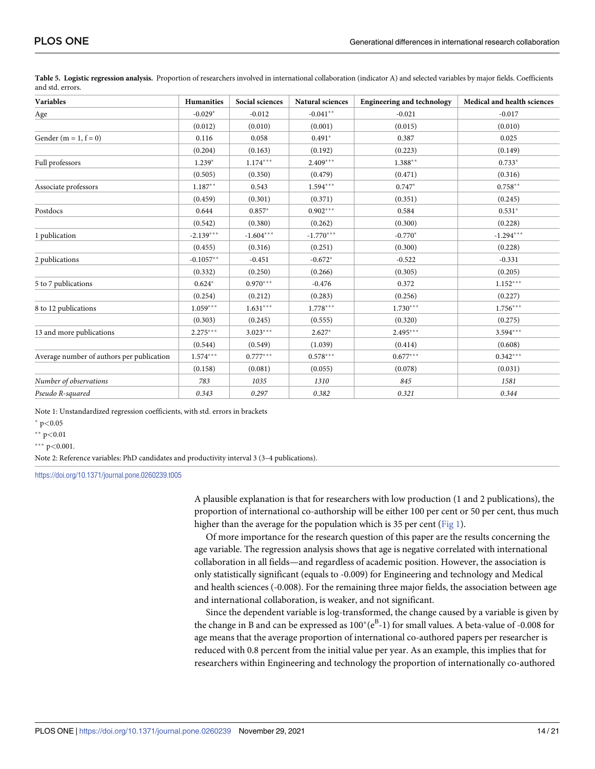| <b>Variables</b>                          | <b>Humanities</b> | Social sciences | Natural sciences | <b>Engineering and technology</b> | Medical and health sciences |
|-------------------------------------------|-------------------|-----------------|------------------|-----------------------------------|-----------------------------|
| Age                                       | $-0.029*$         | $-0.012$        | $-0.041**$       | $-0.021$                          | $-0.017$                    |
|                                           | (0.012)           | (0.010)         | (0.001)          | (0.015)                           | (0.010)                     |
| Gender (m = 1, $f = 0$ )                  | 0.116             | 0.058           | $0.491*$         | 0.387                             | 0.025                       |
|                                           | (0.204)           | (0.163)         | (0.192)          | (0.223)                           | (0.149)                     |
| Full professors                           | $1.239*$          | $1.174***$      | $2.409***$       | $1.388**$                         | $0.733*$                    |
|                                           | (0.505)           | (0.350)         | (0.479)          | (0.471)                           | (0.316)                     |
| Associate professors                      | $1.187**$         | 0.543           | $1.594***$       | $0.747*$                          | $0.758**$                   |
|                                           | (0.459)           | (0.301)         | (0.371)          | (0.351)                           | (0.245)                     |
| Postdocs                                  | 0.644             | $0.857*$        | $0.902***$       | 0.584                             | $0.531*$                    |
|                                           | (0.542)           | (0.380)         | (0.262)          | (0.300)                           | (0.228)                     |
| 1 publication                             | $-2.139***$       | $-1.604***$     | $-1.770***$      | $-0.770*$                         | $-1.294***$                 |
|                                           | (0.455)           | (0.316)         | (0.251)          | (0.300)                           | (0.228)                     |
| 2 publications                            | $-0.1057**$       | $-0.451$        | $-0.672*$        | $-0.522$                          | $-0.331$                    |
|                                           | (0.332)           | (0.250)         | (0.266)          | (0.305)                           | (0.205)                     |
| 5 to 7 publications                       | $0.624*$          | $0.970***$      | $-0.476$         | 0.372                             | $1.152***$                  |
|                                           | (0.254)           | (0.212)         | (0.283)          | (0.256)                           | (0.227)                     |
| 8 to 12 publications                      | $1.059***$        | $1.631***$      | $1.778***$       | $1.730***$                        | $1.756***$                  |
|                                           | (0.303)           | (0.245)         | (0.555)          | (0.320)                           | (0.275)                     |
| 13 and more publications                  | $2.275***$        | $3.023***$      | $2.627*$         | $2.495***$                        | $3.594***$                  |
|                                           | (0.544)           | (0.549)         | (1.039)          | (0.414)                           | (0.608)                     |
| Average number of authors per publication | $1.574***$        | $0.777***$      | $0.578***$       | $0.677***$                        | $0.342***$                  |
|                                           | (0.158)           | (0.081)         | (0.055)          | (0.078)                           | (0.031)                     |
| Number of observations                    | 783               | 1035            | 1310             | 845                               | 1581                        |
| Pseudo R-squared                          | 0.343             | 0.297           | 0.382            | 0.321                             | 0.344                       |

<span id="page-13-0"></span>**[Table](#page-12-0) 5. Logistic regression analysis.** Proportion of researchers involved in international collaboration (indicator A) and selected variables by major fields. Coefficients and std. errors.

Note 1: Unstandardized regression coefficients, with std. errors in brackets

� p*<*0.05

�� p*<*0.01

��� p*<*0.001.

Note 2: Reference variables: PhD candidates and productivity interval 3 (3–4 publications).

<https://doi.org/10.1371/journal.pone.0260239.t005>

A plausible explanation is that for researchers with low production (1 and 2 publications), the proportion of international co-authorship will be either 100 per cent or 50 per cent, thus much higher than the average for the population which is 35 per cent [\(Fig](#page-9-0) 1).

Of more importance for the research question of this paper are the results concerning the age variable. The regression analysis shows that age is negative correlated with international collaboration in all fields—and regardless of academic position. However, the association is only statistically significant (equals to -0.009) for Engineering and technology and Medical and health sciences (-0.008). For the remaining three major fields, the association between age and international collaboration, is weaker, and not significant.

Since the dependent variable is log-transformed, the change caused by a variable is given by the change in B and can be expressed as  $100^{\circ}$  ( $e^{B}$ -1) for small values. A beta-value of -0.008 for age means that the average proportion of international co-authored papers per researcher is reduced with 0.8 percent from the initial value per year. As an example, this implies that for researchers within Engineering and technology the proportion of internationally co-authored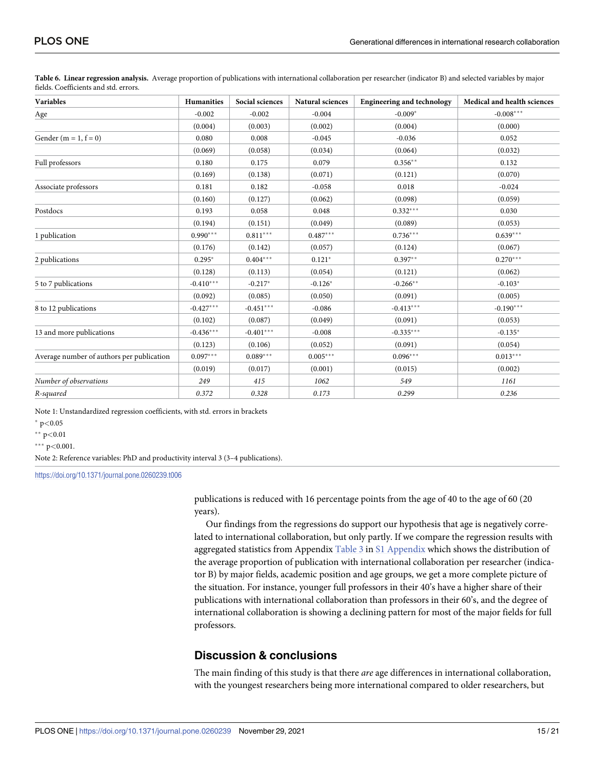| <b>Variables</b>                          | Humanities  | Social sciences | Natural sciences | <b>Engineering and technology</b> | Medical and health sciences |
|-------------------------------------------|-------------|-----------------|------------------|-----------------------------------|-----------------------------|
| Age                                       | $-0.002$    | $-0.002$        | $-0.004$         | $-0.009*$                         | $-0.008***$                 |
|                                           | (0.004)     | (0.003)         | (0.002)          | (0.004)                           | (0.000)                     |
| Gender (m = 1, $f = 0$ )                  | 0.080       | 0.008           | $-0.045$         | $-0.036$                          | 0.052                       |
|                                           | (0.069)     | (0.058)         | (0.034)          | (0.064)                           | (0.032)                     |
| Full professors                           | 0.180       | 0.175           | 0.079            | $0.356**$                         | 0.132                       |
|                                           | (0.169)     | (0.138)         | (0.071)          | (0.121)                           | (0.070)                     |
| Associate professors                      | 0.181       | 0.182           | $-0.058$         | 0.018                             | $-0.024$                    |
|                                           | (0.160)     | (0.127)         | (0.062)          | (0.098)                           | (0.059)                     |
| Postdocs                                  | 0.193       | 0.058           | 0.048            | $0.332***$                        | 0.030                       |
|                                           | (0.194)     | (0.151)         | (0.049)          | (0.089)                           | (0.053)                     |
| 1 publication                             | $0.990***$  | $0.811***$      | $0.487***$       | $0.736***$                        | $0.639***$                  |
|                                           | (0.176)     | (0.142)         | (0.057)          | (0.124)                           | (0.067)                     |
| 2 publications                            | $0.295*$    | $0.404***$      | $0.121*$         | $0.397**$                         | $0.270***$                  |
|                                           | (0.128)     | (0.113)         | (0.054)          | (0.121)                           | (0.062)                     |
| 5 to 7 publications                       | $-0.410***$ | $-0.217*$       | $-0.126*$        | $-0.266$ **                       | $-0.103*$                   |
|                                           | (0.092)     | (0.085)         | (0.050)          | (0.091)                           | (0.005)                     |
| 8 to 12 publications                      | $-0.427***$ | $-0.451***$     | $-0.086$         | $-0.413***$                       | $-0.190***$                 |
|                                           | (0.102)     | (0.087)         | (0.049)          | (0.091)                           | (0.053)                     |
| 13 and more publications                  | $-0.436***$ | $-0.401***$     | $-0.008$         | $-0.335***$                       | $-0.135*$                   |
|                                           | (0.123)     | (0.106)         | (0.052)          | (0.091)                           | (0.054)                     |
| Average number of authors per publication | $0.097***$  | $0.089***$      | $0.005***$       | $0.096***$                        | $0.013***$                  |
|                                           | (0.019)     | (0.017)         | (0.001)          | (0.015)                           | (0.002)                     |
| Number of observations                    | 249         | 415             | 1062             | 549                               | 1161                        |
| R-squared                                 | 0.372       | 0.328           | 0.173            | 0.299                             | 0.236                       |

<span id="page-14-0"></span>**[Table](#page-12-0) 6. Linear regression analysis.** Average proportion of publications with international collaboration per researcher (indicator B) and selected variables by major fields. Coefficients and std. errors.

Note 1: Unstandardized regression coefficients, with std. errors in brackets

� p*<*0.05

�� p*<*0.01

��� p*<*0.001.

Note 2: Reference variables: PhD and productivity interval 3 (3–4 publications).

<https://doi.org/10.1371/journal.pone.0260239.t006>

publications is reduced with 16 percentage points from the age of 40 to the age of 60 (20 years).

Our findings from the regressions do support our hypothesis that age is negatively correlated to international collaboration, but only partly. If we compare the regression results with aggregated statistics from Appendix [Table](#page-7-0) 3 in S1 [Appendix](#page-17-0) which shows the distribution of the average proportion of publication with international collaboration per researcher (indicator B) by major fields, academic position and age groups, we get a more complete picture of the situation. For instance, younger full professors in their 40's have a higher share of their publications with international collaboration than professors in their 60's, and the degree of international collaboration is showing a declining pattern for most of the major fields for full professors.

# **Discussion & conclusions**

The main finding of this study is that there *are* age differences in international collaboration, with the youngest researchers being more international compared to older researchers, but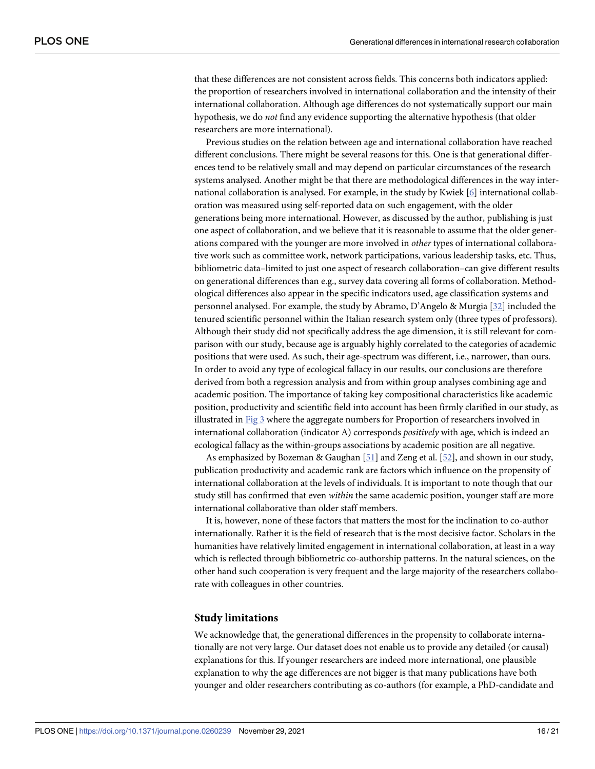<span id="page-15-0"></span>that these differences are not consistent across fields. This concerns both indicators applied: the proportion of researchers involved in international collaboration and the intensity of their international collaboration. Although age differences do not systematically support our main hypothesis, we do *not* find any evidence supporting the alternative hypothesis (that older researchers are more international).

Previous studies on the relation between age and international collaboration have reached different conclusions. There might be several reasons for this. One is that generational differences tend to be relatively small and may depend on particular circumstances of the research systems analysed. Another might be that there are methodological differences in the way international collaboration is analysed. For example, in the study by Kwiek [\[6\]](#page-17-0) international collaboration was measured using self-reported data on such engagement, with the older generations being more international. However, as discussed by the author, publishing is just one aspect of collaboration, and we believe that it is reasonable to assume that the older generations compared with the younger are more involved in *other* types of international collaborative work such as committee work, network participations, various leadership tasks, etc. Thus, bibliometric data–limited to just one aspect of research collaboration–can give different results on generational differences than e.g., survey data covering all forms of collaboration. Methodological differences also appear in the specific indicators used, age classification systems and personnel analysed. For example, the study by Abramo, D'Angelo & Murgia [\[32\]](#page-18-0) included the tenured scientific personnel within the Italian research system only (three types of professors). Although their study did not specifically address the age dimension, it is still relevant for comparison with our study, because age is arguably highly correlated to the categories of academic positions that were used. As such, their age-spectrum was different, i.e., narrower, than ours. In order to avoid any type of ecological fallacy in our results, our conclusions are therefore derived from both a regression analysis and from within group analyses combining age and academic position. The importance of taking key compositional characteristics like academic position, productivity and scientific field into account has been firmly clarified in our study, as illustrated in [Fig](#page-11-0) 3 where the aggregate numbers for Proportion of researchers involved in international collaboration (indicator A) corresponds *positively* with age, which is indeed an ecological fallacy as the within-groups associations by academic position are all negative.

As emphasized by Bozeman & Gaughan [[51](#page-19-0)] and Zeng et al. [[52](#page-19-0)], and shown in our study, publication productivity and academic rank are factors which influence on the propensity of international collaboration at the levels of individuals. It is important to note though that our study still has confirmed that even *within* the same academic position, younger staff are more international collaborative than older staff members.

It is, however, none of these factors that matters the most for the inclination to co-author internationally. Rather it is the field of research that is the most decisive factor. Scholars in the humanities have relatively limited engagement in international collaboration, at least in a way which is reflected through bibliometric co-authorship patterns. In the natural sciences, on the other hand such cooperation is very frequent and the large majority of the researchers collaborate with colleagues in other countries.

#### **Study limitations**

We acknowledge that, the generational differences in the propensity to collaborate internationally are not very large. Our dataset does not enable us to provide any detailed (or causal) explanations for this. If younger researchers are indeed more international, one plausible explanation to why the age differences are not bigger is that many publications have both younger and older researchers contributing as co-authors (for example, a PhD-candidate and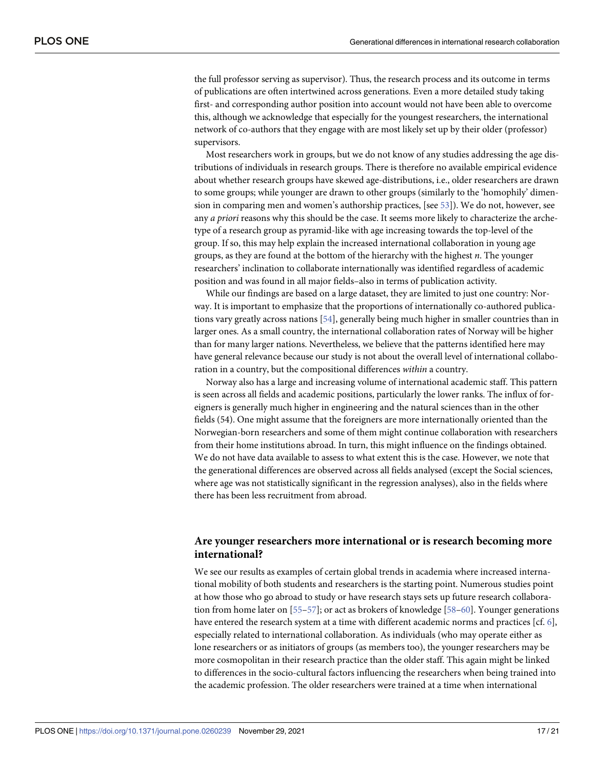<span id="page-16-0"></span>the full professor serving as supervisor). Thus, the research process and its outcome in terms of publications are often intertwined across generations. Even a more detailed study taking first- and corresponding author position into account would not have been able to overcome this, although we acknowledge that especially for the youngest researchers, the international network of co-authors that they engage with are most likely set up by their older (professor) supervisors.

Most researchers work in groups, but we do not know of any studies addressing the age distributions of individuals in research groups. There is therefore no available empirical evidence about whether research groups have skewed age-distributions, i.e., older researchers are drawn to some groups; while younger are drawn to other groups (similarly to the 'homophily' dimension in comparing men and women's authorship practices, [see [53\]](#page-19-0)). We do not, however, see any *a priori* reasons why this should be the case. It seems more likely to characterize the archetype of a research group as pyramid-like with age increasing towards the top-level of the group. If so, this may help explain the increased international collaboration in young age groups, as they are found at the bottom of the hierarchy with the highest *n*. The younger researchers' inclination to collaborate internationally was identified regardless of academic position and was found in all major fields–also in terms of publication activity.

While our findings are based on a large dataset, they are limited to just one country: Norway. It is important to emphasize that the proportions of internationally co-authored publications vary greatly across nations [[54\]](#page-19-0), generally being much higher in smaller countries than in larger ones. As a small country, the international collaboration rates of Norway will be higher than for many larger nations. Nevertheless, we believe that the patterns identified here may have general relevance because our study is not about the overall level of international collaboration in a country, but the compositional differences *within* a country.

Norway also has a large and increasing volume of international academic staff. This pattern is seen across all fields and academic positions, particularly the lower ranks. The influx of foreigners is generally much higher in engineering and the natural sciences than in the other fields (54). One might assume that the foreigners are more internationally oriented than the Norwegian-born researchers and some of them might continue collaboration with researchers from their home institutions abroad. In turn, this might influence on the findings obtained. We do not have data available to assess to what extent this is the case. However, we note that the generational differences are observed across all fields analysed (except the Social sciences, where age was not statistically significant in the regression analyses), also in the fields where there has been less recruitment from abroad.

# **Are younger researchers more international or is research becoming more international?**

We see our results as examples of certain global trends in academia where increased international mobility of both students and researchers is the starting point. Numerous studies point at how those who go abroad to study or have research stays sets up future research collaboration from home later on [[55–57\]](#page-19-0); or act as brokers of knowledge [\[58–60](#page-19-0)]. Younger generations have entered the research system at a time with different academic norms and practices [cf. [6\]](#page-17-0), especially related to international collaboration. As individuals (who may operate either as lone researchers or as initiators of groups (as members too), the younger researchers may be more cosmopolitan in their research practice than the older staff. This again might be linked to differences in the socio-cultural factors influencing the researchers when being trained into the academic profession. The older researchers were trained at a time when international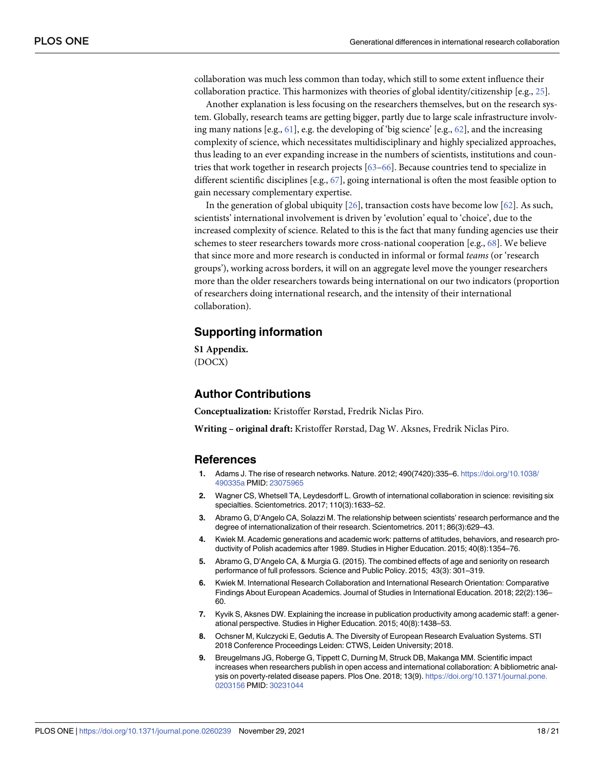<span id="page-17-0"></span>collaboration was much less common than today, which still to some extent influence their collaboration practice. This harmonizes with theories of global identity/citizenship [e.g., [25\]](#page-18-0).

Another explanation is less focusing on the researchers themselves, but on the research system. Globally, research teams are getting bigger, partly due to large scale infrastructure involving many nations [e.g., [61](#page-19-0)], e.g. the developing of 'big science' [e.g., [62](#page-20-0)], and the increasing complexity of science, which necessitates multidisciplinary and highly specialized approaches, thus leading to an ever expanding increase in the numbers of scientists, institutions and countries that work together in research projects [\[63–66\]](#page-20-0). Because countries tend to specialize in different scientific disciplines [e.g., [67\]](#page-20-0), going international is often the most feasible option to gain necessary complementary expertise.

In the generation of global ubiquity [\[26\]](#page-18-0), transaction costs have become low [\[62\]](#page-20-0). As such, scientists' international involvement is driven by 'evolution' equal to 'choice', due to the increased complexity of science. Related to this is the fact that many funding agencies use their schemes to steer researchers towards more cross-national cooperation [e.g., [68](#page-20-0)]. We believe that since more and more research is conducted in informal or formal *teams* (or 'research groups'), working across borders, it will on an aggregate level move the younger researchers more than the older researchers towards being international on our two indicators (proportion of researchers doing international research, and the intensity of their international collaboration).

# **Supporting information**

**S1 [Appendix](http://www.plosone.org/article/fetchSingleRepresentation.action?uri=info:doi/10.1371/journal.pone.0260239.s001).** (DOCX)

# **Author Contributions**

**Conceptualization:** Kristoffer Rørstad, Fredrik Niclas Piro.

**Writing – original draft:** Kristoffer Rørstad, Dag W. Aksnes, Fredrik Niclas Piro.

## **References**

- **[1](#page-0-0).** Adams J. The rise of research networks. Nature. 2012; 490(7420):335–6. [https://doi.org/10.1038/](https://doi.org/10.1038/490335a) [490335a](https://doi.org/10.1038/490335a) PMID: [23075965](http://www.ncbi.nlm.nih.gov/pubmed/23075965)
- **[2](#page-0-0).** Wagner CS, Whetsell TA, Leydesdorff L. Growth of international collaboration in science: revisiting six specialties. Scientometrics. 2017; 110(3):1633–52.
- **[3](#page-0-0).** Abramo G, D'Angelo CA, Solazzi M. The relationship between scientists' research performance and the degree of internationalization of their research. Scientometrics. 2011; 86(3):629–43.
- **[4](#page-0-0).** Kwiek M. Academic generations and academic work: patterns of attitudes, behaviors, and research productivity of Polish academics after 1989. Studies in Higher Education. 2015; 40(8):1354–76.
- **[5](#page-0-0).** Abramo G, D'Angelo CA, & Murgia G. (2015). The combined effects of age and seniority on research performance of full professors. Science and Public Policy. 2015; 43(3): 301–319.
- **[6](#page-0-0).** Kwiek M. International Research Collaboration and International Research Orientation: Comparative Findings About European Academics. Journal of Studies in International Education. 2018; 22(2):136– 60.
- **[7](#page-1-0).** Kyvik S, Aksnes DW. Explaining the increase in publication productivity among academic staff: a generational perspective. Studies in Higher Education. 2015; 40(8):1438–53.
- **[8](#page-1-0).** Ochsner M, Kulczycki E, Gedutis A. The Diversity of European Research Evaluation Systems. STI 2018 Conference Proceedings Leiden: CTWS, Leiden University; 2018.
- **[9](#page-1-0).** Breugelmans JG, Roberge G, Tippett C, Durning M, Struck DB, Makanga MM. Scientific impact increases when researchers publish in open access and international collaboration: A bibliometric analysis on poverty-related disease papers. Plos One. 2018; 13(9). [https://doi.org/10.1371/journal.pone.](https://doi.org/10.1371/journal.pone.0203156) [0203156](https://doi.org/10.1371/journal.pone.0203156) PMID: [30231044](http://www.ncbi.nlm.nih.gov/pubmed/30231044)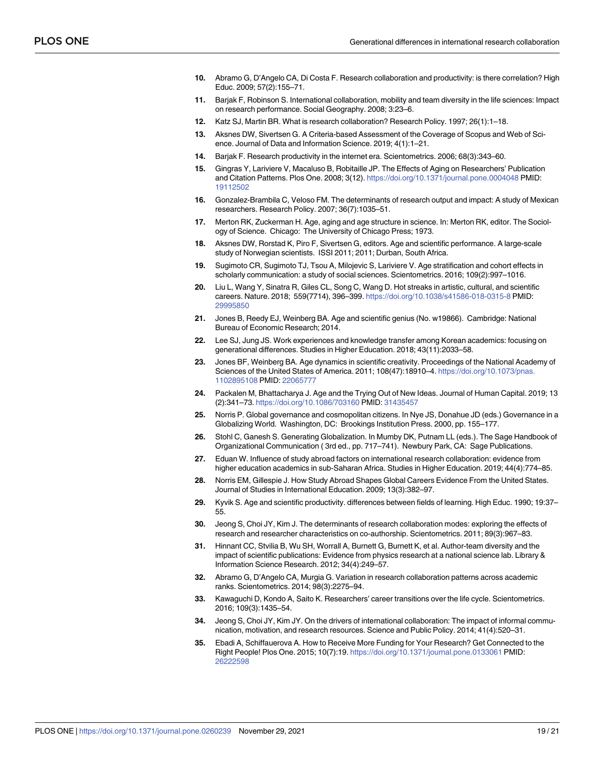- <span id="page-18-0"></span>**[10](#page-1-0).** Abramo G, D'Angelo CA, Di Costa F. Research collaboration and productivity: is there correlation? High Educ. 2009; 57(2):155–71.
- **[11](#page-1-0).** Barjak F, Robinson S. International collaboration, mobility and team diversity in the life sciences: Impact on research performance. Social Geography. 2008; 3:23–6.
- **[12](#page-1-0).** Katz SJ, Martin BR. What is research collaboration? Research Policy. 1997; 26(1):1–18.
- **[13](#page-1-0).** Aksnes DW, Sivertsen G. A Criteria-based Assessment of the Coverage of Scopus and Web of Science. Journal of Data and Information Science. 2019; 4(1):1–21.
- **[14](#page-2-0).** Barjak F. Research productivity in the internet era. Scientometrics. 2006; 68(3):343–60.
- **[15](#page-2-0).** Gingras Y, Lariviere V, Macaluso B, Robitaille JP. The Effects of Aging on Researchers' Publication and Citation Patterns. Plos One. 2008; 3(12). <https://doi.org/10.1371/journal.pone.0004048> PMID: [19112502](http://www.ncbi.nlm.nih.gov/pubmed/19112502)
- **[16](#page-2-0).** Gonzalez-Brambila C, Veloso FM. The determinants of research output and impact: A study of Mexican researchers. Research Policy. 2007; 36(7):1035–51.
- **[17](#page-2-0).** Merton RK, Zuckerman H. Age, aging and age structure in science. In: Merton RK, editor. The Sociology of Science. Chicago: The University of Chicago Press; 1973.
- **[18](#page-2-0).** Aksnes DW, Rorstad K, Piro F, Sivertsen G, editors. Age and scientific performance. A large-scale study of Norwegian scientists. ISSI 2011; 2011; Durban, South Africa.
- **[19](#page-2-0).** Sugimoto CR, Sugimoto TJ, Tsou A, Milojevic S, Lariviere V. Age stratification and cohort effects in scholarly communication: a study of social sciences. Scientometrics. 2016; 109(2):997–1016.
- **[20](#page-2-0).** Liu L, Wang Y, Sinatra R, Giles CL, Song C, Wang D. Hot streaks in artistic, cultural, and scientific careers. Nature. 2018; 559(7714), 396–399. <https://doi.org/10.1038/s41586-018-0315-8> PMID: [29995850](http://www.ncbi.nlm.nih.gov/pubmed/29995850)
- **[21](#page-2-0).** Jones B, Reedy EJ, Weinberg BA. Age and scientific genius (No. w19866). Cambridge: National Bureau of Economic Research; 2014.
- **[22](#page-2-0).** Lee SJ, Jung JS. Work experiences and knowledge transfer among Korean academics: focusing on generational differences. Studies in Higher Education. 2018; 43(11):2033–58.
- **[23](#page-3-0).** Jones BF, Weinberg BA. Age dynamics in scientific creativity. Proceedings of the National Academy of Sciences of the United States of America. 2011; 108(47):18910–4. [https://doi.org/10.1073/pnas.](https://doi.org/10.1073/pnas.1102895108) [1102895108](https://doi.org/10.1073/pnas.1102895108) PMID: [22065777](http://www.ncbi.nlm.nih.gov/pubmed/22065777)
- **[24](#page-3-0).** Packalen M, Bhattacharya J. Age and the Trying Out of New Ideas. Journal of Human Capital. 2019; 13 (2):341–73. <https://doi.org/10.1086/703160> PMID: [31435457](http://www.ncbi.nlm.nih.gov/pubmed/31435457)
- **[25](#page-3-0).** Norris P. Global governance and cosmopolitan citizens. In Nye JS, Donahue JD (eds.) Governance in a Globalizing World. Washington, DC: Brookings Institution Press. 2000, pp. 155–177.
- **[26](#page-3-0).** Stohl C, Ganesh S. Generating Globalization. In Mumby DK, Putnam LL (eds.). The Sage Handbook of Organizational Communication ( 3rd ed., pp. 717–741). Newbury Park, CA: Sage Publications.
- **[27](#page-3-0).** Eduan W. Influence of study abroad factors on international research collaboration: evidence from higher education academics in sub-Saharan Africa. Studies in Higher Education. 2019; 44(4):774–85.
- **[28](#page-3-0).** Norris EM, Gillespie J. How Study Abroad Shapes Global Careers Evidence From the United States. Journal of Studies in International Education. 2009; 13(3):382–97.
- **[29](#page-3-0).** Kyvik S. Age and scientific productivity. differences between fields of learning. High Educ. 1990; 19:37– 55.
- **[30](#page-3-0).** Jeong S, Choi JY, Kim J. The determinants of research collaboration modes: exploring the effects of research and researcher characteristics on co-authorship. Scientometrics. 2011; 89(3):967–83.
- **[31](#page-3-0).** Hinnant CC, Stvilia B, Wu SH, Worrall A, Burnett G, Burnett K, et al. Author-team diversity and the impact of scientific publications: Evidence from physics research at a national science lab. Library & Information Science Research. 2012; 34(4):249–57.
- **[32](#page-3-0).** Abramo G, D'Angelo CA, Murgia G. Variation in research collaboration patterns across academic ranks. Scientometrics. 2014; 98(3):2275–94.
- **[33](#page-3-0).** Kawaguchi D, Kondo A, Saito K. Researchers' career transitions over the life cycle. Scientometrics. 2016; 109(3):1435–54.
- **[34](#page-3-0).** Jeong S, Choi JY, Kim JY. On the drivers of international collaboration: The impact of informal communication, motivation, and research resources. Science and Public Policy. 2014; 41(4):520–31.
- **[35](#page-4-0).** Ebadi A, Schiffauerova A. How to Receive More Funding for Your Research? Get Connected to the Right People! Plos One. 2015; 10(7):19. <https://doi.org/10.1371/journal.pone.0133061> PMID: [26222598](http://www.ncbi.nlm.nih.gov/pubmed/26222598)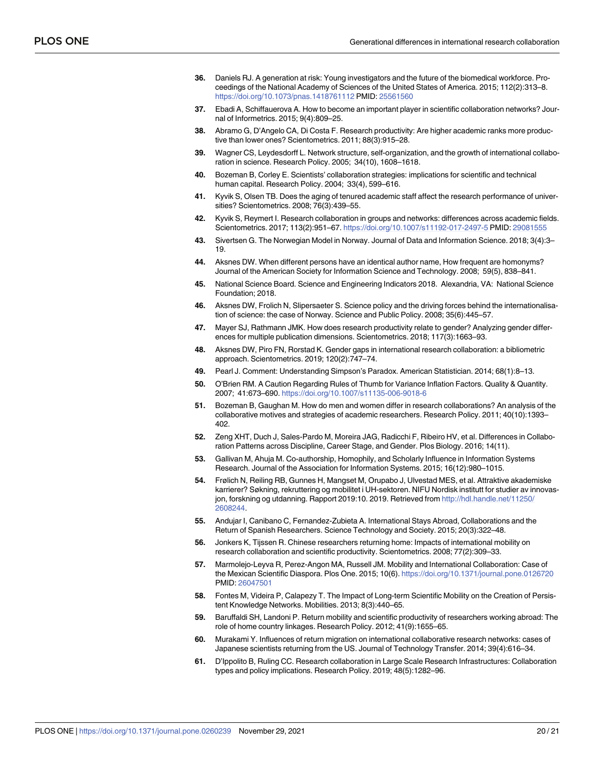- <span id="page-19-0"></span>**[36](#page-4-0).** Daniels RJ. A generation at risk: Young investigators and the future of the biomedical workforce. Proceedings of the National Academy of Sciences of the United States of America. 2015; 112(2):313–8. <https://doi.org/10.1073/pnas.1418761112> PMID: [25561560](http://www.ncbi.nlm.nih.gov/pubmed/25561560)
- **[37](#page-4-0).** Ebadi A, Schiffauerova A. How to become an important player in scientific collaboration networks? Journal of Informetrics. 2015; 9(4):809–25.
- **[38](#page-4-0).** Abramo G, D'Angelo CA, Di Costa F. Research productivity: Are higher academic ranks more productive than lower ones? Scientometrics. 2011; 88(3):915–28.
- **[39](#page-4-0).** Wagner CS, Leydesdorff L. Network structure, self-organization, and the growth of international collaboration in science. Research Policy. 2005; 34(10), 1608–1618.
- **[40](#page-4-0).** Bozeman B, Corley E. Scientists' collaboration strategies: implications for scientific and technical human capital. Research Policy. 2004; 33(4), 599–616.
- **[41](#page-4-0).** Kyvik S, Olsen TB. Does the aging of tenured academic staff affect the research performance of universities? Scientometrics. 2008; 76(3):439–55.
- **[42](#page-4-0).** Kyvik S, Reymert I. Research collaboration in groups and networks: differences across academic fields. Scientometrics. 2017; 113(2):951–67. <https://doi.org/10.1007/s11192-017-2497-5> PMID: [29081555](http://www.ncbi.nlm.nih.gov/pubmed/29081555)
- **[43](#page-4-0).** Sivertsen G. The Norwegian Model in Norway. Journal of Data and Information Science. 2018; 3(4):3– 19.
- **[44](#page-5-0).** Aksnes DW. When different persons have an identical author name, How frequent are homonyms? Journal of the American Society for Information Science and Technology. 2008; 59(5), 838–841.
- **[45](#page-6-0).** National Science Board. Science and Engineering Indicators 2018. Alexandria, VA: National Science Foundation; 2018.
- **[46](#page-6-0).** Aksnes DW, Frolich N, Slipersaeter S. Science policy and the driving forces behind the internationalisation of science: the case of Norway. Science and Public Policy. 2008; 35(6):445–57.
- **[47](#page-7-0).** Mayer SJ, Rathmann JMK. How does research productivity relate to gender? Analyzing gender differences for multiple publication dimensions. Scientometrics. 2018; 117(3):1663–93.
- **[48](#page-8-0).** Aksnes DW, Piro FN, Rorstad K. Gender gaps in international research collaboration: a bibliometric approach. Scientometrics. 2019; 120(2):747–74.
- **[49](#page-10-0).** Pearl J. Comment: Understanding Simpson's Paradox. American Statistician. 2014; 68(1):8–13.
- **[50](#page-12-0).** O'Brien RM. A Caution Regarding Rules of Thumb for Variance Inflation Factors. Quality & Quantity. 2007; 41:673–690. <https://doi.org/10.1007/s11135-006-9018-6>
- **[51](#page-15-0).** Bozeman B, Gaughan M. How do men and women differ in research collaborations? An analysis of the collaborative motives and strategies of academic researchers. Research Policy. 2011; 40(10):1393– 402.
- **[52](#page-15-0).** Zeng XHT, Duch J, Sales-Pardo M, Moreira JAG, Radicchi F, Ribeiro HV, et al. Differences in Collaboration Patterns across Discipline, Career Stage, and Gender. Plos Biology. 2016; 14(11).
- **[53](#page-16-0).** Gallivan M, Ahuja M. Co-authorship, Homophily, and Scholarly Influence in Information Systems Research. Journal of the Association for Information Systems. 2015; 16(12):980–1015.
- **[54](#page-16-0).** Frølich N, Reiling RB, Gunnes H, Mangset M, Orupabo J, Ulvestad MES, et al. Attraktive akademiske karrierer? Søkning, rekruttering og mobilitet i UH-sektoren. NIFU Nordisk institutt for studier av innovasjon, forskning og utdanning. Rapport 2019:10. 2019. Retrieved from [http://hdl.handle.net/11250/](http://hdl.handle.net/11250/2608244) [2608244](http://hdl.handle.net/11250/2608244).
- **[55](#page-16-0).** Andujar I, Canibano C, Fernandez-Zubieta A. International Stays Abroad, Collaborations and the Return of Spanish Researchers. Science Technology and Society. 2015; 20(3):322–48.
- **56.** Jonkers K, Tijssen R. Chinese researchers returning home: Impacts of international mobility on research collaboration and scientific productivity. Scientometrics. 2008; 77(2):309–33.
- **[57](#page-16-0).** Marmolejo-Leyva R, Perez-Angon MA, Russell JM. Mobility and International Collaboration: Case of the Mexican Scientific Diaspora. Plos One. 2015; 10(6). <https://doi.org/10.1371/journal.pone.0126720> PMID: [26047501](http://www.ncbi.nlm.nih.gov/pubmed/26047501)
- **[58](#page-16-0).** Fontes M, Videira P, Calapezy T. The Impact of Long-term Scientific Mobility on the Creation of Persistent Knowledge Networks. Mobilities. 2013; 8(3):440–65.
- **59.** Baruffaldi SH, Landoni P. Return mobility and scientific productivity of researchers working abroad: The role of home country linkages. Research Policy. 2012; 41(9):1655–65.
- **[60](#page-16-0).** Murakami Y. Influences of return migration on international collaborative research networks: cases of Japanese scientists returning from the US. Journal of Technology Transfer. 2014; 39(4):616–34.
- **[61](#page-17-0).** D'Ippolito B, Ruling CC. Research collaboration in Large Scale Research Infrastructures: Collaboration types and policy implications. Research Policy. 2019; 48(5):1282–96.